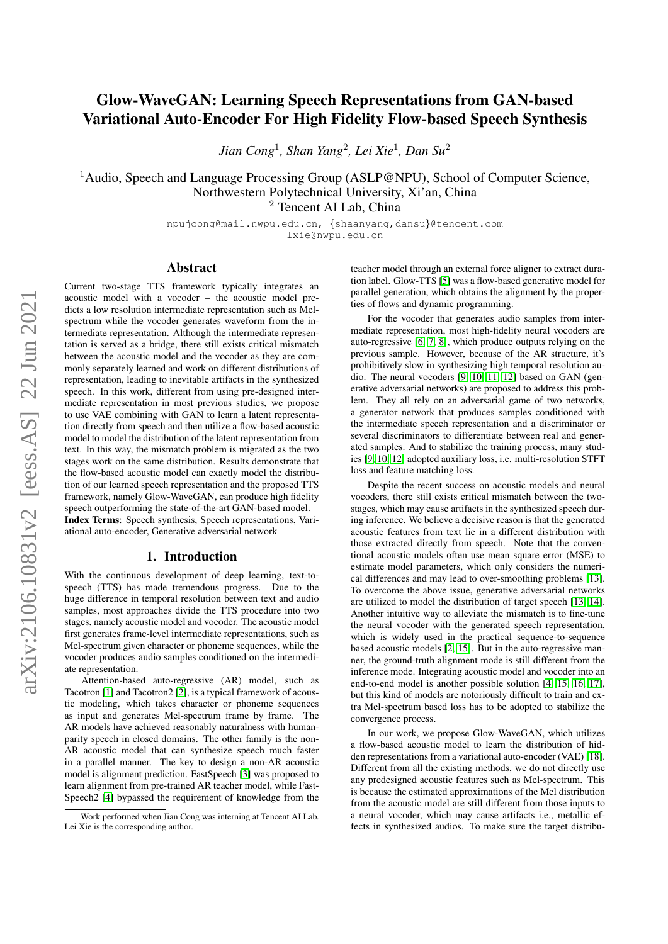# Glow-WaveGAN: Learning Speech Representations from GAN-based Variational Auto-Encoder For High Fidelity Flow-based Speech Synthesis

*Jian Cong*<sup>1</sup> *, Shan Yang*<sup>2</sup> *, Lei Xie*<sup>1</sup> *, Dan Su*<sup>2</sup>

<sup>1</sup>Audio, Speech and Language Processing Group (ASLP@NPU), School of Computer Science, Northwestern Polytechnical University, Xi'an, China <sup>2</sup> Tencent AI Lab, China

> npujcong@mail.nwpu.edu.cn, {shaanyang,dansu}@tencent.com lxie@nwpu.edu.cn

## Abstract

Current two-stage TTS framework typically integrates an acoustic model with a vocoder – the acoustic model predicts a low resolution intermediate representation such as Melspectrum while the vocoder generates waveform from the intermediate representation. Although the intermediate representation is served as a bridge, there still exists critical mismatch between the acoustic model and the vocoder as they are commonly separately learned and work on different distributions of representation, leading to inevitable artifacts in the synthesized speech. In this work, different from using pre-designed intermediate representation in most previous studies, we propose to use VAE combining with GAN to learn a latent representation directly from speech and then utilize a flow-based acoustic model to model the distribution of the latent representation from text. In this way, the mismatch problem is migrated as the two stages work on the same distribution. Results demonstrate that the flow-based acoustic model can exactly model the distribution of our learned speech representation and the proposed TTS framework, namely Glow-WaveGAN, can produce high fidelity speech outperforming the state-of-the-art GAN-based model. Index Terms: Speech synthesis, Speech representations, Variational auto-encoder, Generative adversarial network

## 1. Introduction

With the continuous development of deep learning, text-tospeech (TTS) has made tremendous progress. Due to the huge difference in temporal resolution between text and audio samples, most approaches divide the TTS procedure into two stages, namely acoustic model and vocoder. The acoustic model first generates frame-level intermediate representations, such as Mel-spectrum given character or phoneme sequences, while the vocoder produces audio samples conditioned on the intermediate representation.

Attention-based auto-regressive (AR) model, such as Tacotron [\[1\]](#page-4-0) and Tacotron2 [\[2\]](#page-4-1), is a typical framework of acoustic modeling, which takes character or phoneme sequences as input and generates Mel-spectrum frame by frame. The AR models have achieved reasonably naturalness with humanparity speech in closed domains. The other family is the non-AR acoustic model that can synthesize speech much faster in a parallel manner. The key to design a non-AR acoustic model is alignment prediction. FastSpeech [\[3\]](#page-4-2) was proposed to learn alignment from pre-trained AR teacher model, while Fast-Speech2 [\[4\]](#page-4-3) bypassed the requirement of knowledge from the

teacher model through an external force aligner to extract duration label. Glow-TTS [\[5\]](#page-4-4) was a flow-based generative model for parallel generation, which obtains the alignment by the properties of flows and dynamic programming.

For the vocoder that generates audio samples from intermediate representation, most high-fidelity neural vocoders are auto-regressive [\[6,](#page-4-5) [7,](#page-4-6) [8\]](#page-4-7), which produce outputs relying on the previous sample. However, because of the AR structure, it's prohibitively slow in synthesizing high temporal resolution audio. The neural vocoders [\[9,](#page-4-8) [10,](#page-4-9) [11,](#page-4-10) [12\]](#page-4-11) based on GAN (generative adversarial networks) are proposed to address this problem. They all rely on an adversarial game of two networks, a generator network that produces samples conditioned with the intermediate speech representation and a discriminator or several discriminators to differentiate between real and generated samples. And to stabilize the training process, many studies [\[9,](#page-4-8) [10,](#page-4-9) [12\]](#page-4-11) adopted auxiliary loss, i.e. multi-resolution STFT loss and feature matching loss.

Despite the recent success on acoustic models and neural vocoders, there still exists critical mismatch between the twostages, which may cause artifacts in the synthesized speech during inference. We believe a decisive reason is that the generated acoustic features from text lie in a different distribution with those extracted directly from speech. Note that the conventional acoustic models often use mean square error (MSE) to estimate model parameters, which only considers the numerical differences and may lead to over-smoothing problems [\[13\]](#page-4-12). To overcome the above issue, generative adversarial networks are utilized to model the distribution of target speech [\[13,](#page-4-12) [14\]](#page-4-13). Another intuitive way to alleviate the mismatch is to fine-tune the neural vocoder with the generated speech representation, which is widely used in the practical sequence-to-sequence based acoustic models [\[2,](#page-4-1) [15\]](#page-4-14). But in the auto-regressive manner, the ground-truth alignment mode is still different from the inference mode. Integrating acoustic model and vocoder into an end-to-end model is another possible solution [\[4,](#page-4-3) [15,](#page-4-14) [16,](#page-4-15) [17\]](#page-4-16), but this kind of models are notoriously difficult to train and extra Mel-spectrum based loss has to be adopted to stabilize the convergence process.

In our work, we propose Glow-WaveGAN, which utilizes a flow-based acoustic model to learn the distribution of hidden representations from a variational auto-encoder (VAE) [\[18\]](#page-4-17). Different from all the existing methods, we do not directly use any predesigned acoustic features such as Mel-spectrum. This is because the estimated approximations of the Mel distribution from the acoustic model are still different from those inputs to a neural vocoder, which may cause artifacts i.e., metallic effects in synthesized audios. To make sure the target distribu-

Work performed when Jian Cong was interning at Tencent AI Lab. Lei Xie is the corresponding author.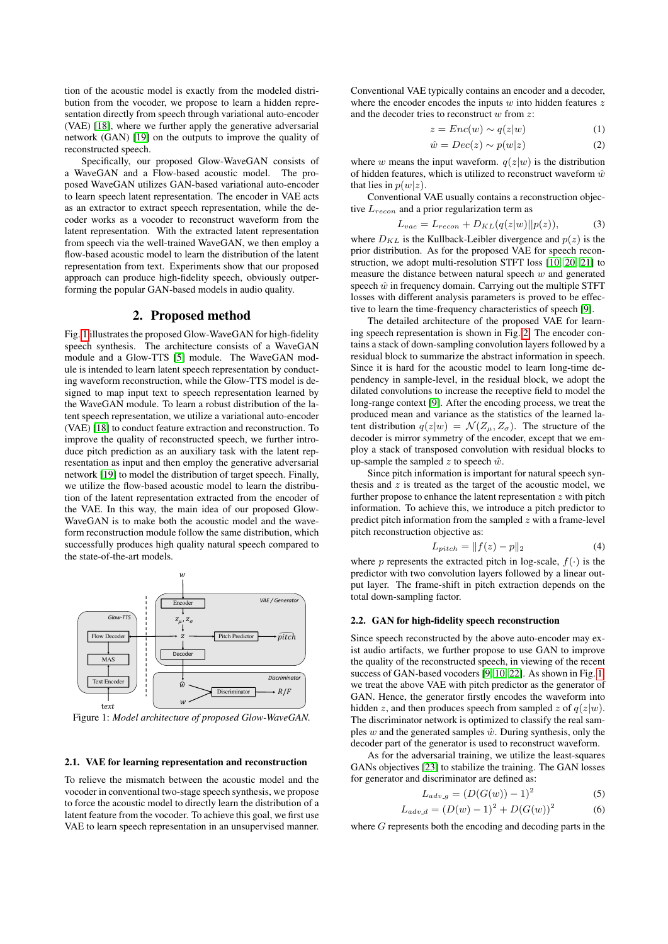tion of the acoustic model is exactly from the modeled distribution from the vocoder, we propose to learn a hidden representation directly from speech through variational auto-encoder (VAE) [\[18\]](#page-4-17), where we further apply the generative adversarial network (GAN) [\[19\]](#page-4-18) on the outputs to improve the quality of reconstructed speech.

Specifically, our proposed Glow-WaveGAN consists of a WaveGAN and a Flow-based acoustic model. The proposed WaveGAN utilizes GAN-based variational auto-encoder to learn speech latent representation. The encoder in VAE acts as an extractor to extract speech representation, while the decoder works as a vocoder to reconstruct waveform from the latent representation. With the extracted latent representation from speech via the well-trained WaveGAN, we then employ a flow-based acoustic model to learn the distribution of the latent representation from text. Experiments show that our proposed approach can produce high-fidelity speech, obviously outperforming the popular GAN-based models in audio quality.

# 2. Proposed method

Fig. [1](#page-1-0) illustrates the proposed Glow-WaveGAN for high-fidelity speech synthesis. The architecture consists of a WaveGAN module and a Glow-TTS [\[5\]](#page-4-4) module. The WaveGAN module is intended to learn latent speech representation by conducting waveform reconstruction, while the Glow-TTS model is designed to map input text to speech representation learned by the WaveGAN module. To learn a robust distribution of the latent speech representation, we utilize a variational auto-encoder (VAE) [\[18\]](#page-4-17) to conduct feature extraction and reconstruction. To improve the quality of reconstructed speech, we further introduce pitch prediction as an auxiliary task with the latent representation as input and then employ the generative adversarial network [\[19\]](#page-4-18) to model the distribution of target speech. Finally, we utilize the flow-based acoustic model to learn the distribution of the latent representation extracted from the encoder of the VAE. In this way, the main idea of our proposed Glow-WaveGAN is to make both the acoustic model and the waveform reconstruction module follow the same distribution, which successfully produces high quality natural speech compared to the state-of-the-art models.

<span id="page-1-0"></span>

Figure 1: *Model architecture of proposed Glow-WaveGAN.*

#### <span id="page-1-2"></span>2.1. VAE for learning representation and reconstruction

To relieve the mismatch between the acoustic model and the vocoder in conventional two-stage speech synthesis, we propose to force the acoustic model to directly learn the distribution of a latent feature from the vocoder. To achieve this goal, we first use VAE to learn speech representation in an unsupervised manner. Conventional VAE typically contains an encoder and a decoder, where the encoder encodes the inputs  $w$  into hidden features  $z$ and the decoder tries to reconstruct  $w$  from  $z$ :

$$
z = Enc(w) \sim q(z|w)
$$
 (1)

$$
\hat{w} = Dec(z) \sim p(w|z)
$$
 (2)

where w means the input waveform.  $q(z|w)$  is the distribution of hidden features, which is utilized to reconstruct waveform  $\hat{w}$ that lies in  $p(w|z)$ .

Conventional VAE usually contains a reconstruction objective  $L_{recon}$  and a prior regularization term as

<span id="page-1-1"></span>
$$
L_{vae} = L_{recon} + D_{KL}(q(z|w)||p(z)),
$$
\n(3)

where  $D_{KL}$  is the Kullback-Leibler divergence and  $p(z)$  is the prior distribution. As for the proposed VAE for speech reconstruction, we adopt multi-resolution STFT loss [\[10,](#page-4-9) [20,](#page-4-19) [21\]](#page-4-20) to measure the distance between natural speech  $w$  and generated speech  $\hat{w}$  in frequency domain. Carrying out the multiple STFT losses with different analysis parameters is proved to be effective to learn the time-frequency characteristics of speech [\[9\]](#page-4-8).

The detailed architecture of the proposed VAE for learning speech representation is shown in Fig. [2.](#page-2-0) The encoder contains a stack of down-sampling convolution layers followed by a residual block to summarize the abstract information in speech. Since it is hard for the acoustic model to learn long-time dependency in sample-level, in the residual block, we adopt the dilated convolutions to increase the receptive field to model the long-range context [\[9\]](#page-4-8). After the encoding process, we treat the produced mean and variance as the statistics of the learned latent distribution  $q(z|w) = \mathcal{N}(Z_\mu, Z_\sigma)$ . The structure of the decoder is mirror symmetry of the encoder, except that we employ a stack of transposed convolution with residual blocks to up-sample the sampled z to speech  $\hat{w}$ .

Since pitch information is important for natural speech synthesis and  $z$  is treated as the target of the acoustic model, we further propose to enhance the latent representation  $z$  with pitch information. To achieve this, we introduce a pitch predictor to predict pitch information from the sampled  $z$  with a frame-level pitch reconstruction objective as:

$$
L_{pitch} = ||f(z) - p||_2 \tag{4}
$$

where p represents the extracted pitch in log-scale,  $f(\cdot)$  is the predictor with two convolution layers followed by a linear output layer. The frame-shift in pitch extraction depends on the total down-sampling factor.

## 2.2. GAN for high-fidelity speech reconstruction

Since speech reconstructed by the above auto-encoder may exist audio artifacts, we further propose to use GAN to improve the quality of the reconstructed speech, in viewing of the recent success of GAN-based vocoders [\[9,](#page-4-8) [10,](#page-4-9) [22\]](#page-4-21). As shown in Fig. [1,](#page-1-0) we treat the above VAE with pitch predictor as the generator of GAN. Hence, the generator firstly encodes the waveform into hidden z, and then produces speech from sampled z of  $q(z|w)$ . The discriminator network is optimized to classify the real samples w and the generated samples  $\hat{w}$ . During synthesis, only the decoder part of the generator is used to reconstruct waveform.

As for the adversarial training, we utilize the least-squares GANs objectives [\[23\]](#page-4-22) to stabilize the training. The GAN losses for generator and discriminator are defined as:

$$
L_{adv,g} = (D(G(w)) - 1)^2
$$
 (5)

$$
L_{adv.d} = (D(w) - 1)^2 + D(G(w))^2 \tag{6}
$$

where G represents both the encoding and decoding parts in the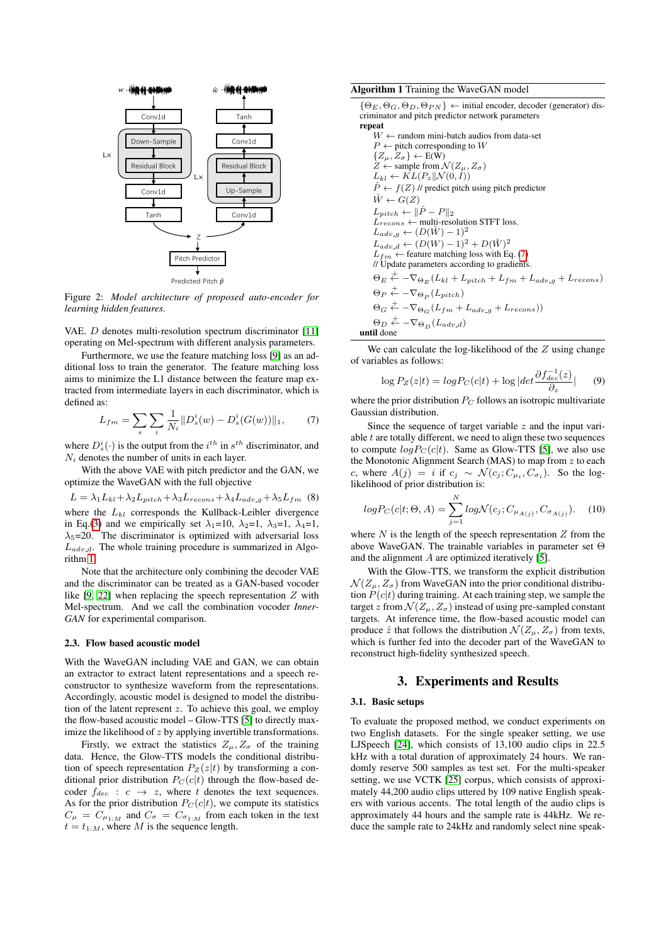<span id="page-2-0"></span>

Figure 2: *Model architecture of proposed auto-encoder for learning hidden features.*

VAE. D denotes multi-resolution spectrum discriminator [\[11\]](#page-4-10) operating on Mel-spectrum with different analysis parameters.

Furthermore, we use the feature matching loss [\[9\]](#page-4-8) as an additional loss to train the generator. The feature matching loss aims to minimize the L1 distance between the feature map extracted from intermediate layers in each discriminator, which is defined as:

<span id="page-2-2"></span>
$$
L_{fm} = \sum_{s} \sum_{i} \frac{1}{N_i} ||D_s^i(w) - D_s^i(G(w))||_1, \qquad (7)
$$

where  $D_s^i(\cdot)$  is the output from the  $i^{th}$  in  $s^{th}$  discriminator, and  $N_i$  denotes the number of units in each layer.

With the above VAE with pitch predictor and the GAN, we optimize the WaveGAN with the full objective

 $L = \lambda_1 L_{kl} + \lambda_2 L_{pitch} + \lambda_3 L_{recons} + \lambda_4 L_{adv.g} + \lambda_5 L_{fm}$  (8) where the  $L_{kl}$  corresponds the Kullback-Leibler divergence in Eq.[\(3\)](#page-1-1) and we empirically set  $\lambda_1=10$ ,  $\lambda_2=1$ ,  $\lambda_3=1$ ,  $\lambda_4=1$ ,  $\lambda$ <sub>5</sub>=20. The discriminator is optimized with adversarial loss  $L_{adv,d}$ . The whole training procedure is summarized in Algorithm [1.](#page-2-1)

Note that the architecture only combining the decoder VAE and the discriminator can be treated as a GAN-based vocoder like  $[9, 22]$  $[9, 22]$  when replacing the speech representation  $Z$  with Mel-spectrum. And we call the combination vocoder *Inner-GAN* for experimental comparison.

#### 2.3. Flow based acoustic model

With the WaveGAN including VAE and GAN, we can obtain an extractor to extract latent representations and a speech reconstructor to synthesize waveform from the representations. Accordingly, acoustic model is designed to model the distribution of the latent represent  $z$ . To achieve this goal, we employ the flow-based acoustic model – Glow-TTS [\[5\]](#page-4-4) to directly maximize the likelihood of  $z$  by applying invertible transformations.

Firstly, we extract the statistics  $Z_{\mu}, Z_{\sigma}$  of the training data. Hence, the Glow-TTS models the conditional distribution of speech representation  $P_Z(z|t)$  by transforming a conditional prior distribution  $P_C(c|t)$  through the flow-based decoder  $f_{dec}$  :  $c \rightarrow z$ , where t denotes the text sequences. As for the prior distribution  $P_C(c|t)$ , we compute its statistics  $C_{\mu} = C_{\mu_{1:M}}$  and  $C_{\sigma} = C_{\sigma_{1:M}}$  from each token in the text  $t = t_{1:M}$ , where M is the sequence length.

#### <span id="page-2-1"></span>Algorithm 1 Training the WaveGAN model

 $\{\Theta_E, \Theta_G, \Theta_D, \Theta_{PN}\}$  ← initial encoder, decoder (generator) discriminator and pitch predictor network parameters repeat

 $W \leftarrow$  random mini-batch audios from data-set  $P \leftarrow$  pitch corresponding to  $W$  ${Z_{\mu}, Z_{\sigma}\}\leftarrow E(W)$  $Z \leftarrow$  sample from  $\mathcal{N}(Z_\mu, Z_\sigma)$  $L_{kl} \leftarrow KL(P_z||\mathcal{N}(0, I))$  $\hat{P} \leftarrow f(Z)$  // predict pitch using pitch predictor  $\hat{W} \leftarrow G(Z)$  $L_{pitch} \leftarrow ||\hat{P} - P||_2$  $L_{recons} \leftarrow \text{multi-resolution STFT loss.}$  $L_{adv,g} \leftarrow (D(\hat{W}) - 1)^2$  $L_{adv\_d} \leftarrow (D(W) - 1)^2 + D(\hat{W})^2$  $L_{fm} \leftarrow$  feature matching loss with Eq. [\(7\)](#page-2-2)  $\frac{1}{\sqrt{2}}$  Update parameters according to gradients.  $\Theta_E \stackrel{+}{\leftarrow} -\nabla_{\Theta_E} (L_{kl} + L_{pitch} + L_{fm} + L_{adv.g} + L_{recons})$  $\Theta_P \stackrel{+}{\leftarrow} -\nabla_{\Theta_P}(L_{pitch})$  $\Theta_G \stackrel{+}{\leftarrow} -\nabla_{\Theta_G}(L_{fm} + L_{adv.g} + L_{recons}))$  $\Theta_D \stackrel{+}{\leftarrow} -\nabla_{\Theta_D}(L_{adv.d})$ until done

We can calculate the log-likelihood of the  $Z$  using change of variables as follows:

$$
\log P_Z(z|t) = \log P_C(c|t) + \log|\det \frac{\partial f_{dec}^{-1}(z)}{\partial_z}| \qquad (9)
$$

where the prior distribution  $P_C$  follows an isotropic multivariate Gaussian distribution.

Since the sequence of target variable  $z$  and the input variable  $t$  are totally different, we need to align these two sequences to compute  $logP_C(c|t)$ . Same as Glow-TTS [\[5\]](#page-4-4), we also use the Monotonic Alignment Search (MAS) to map from z to each c, where  $A(j) = i$  if  $c_j \sim \mathcal{N}(c_j; C_{\mu_i}, C_{\sigma_i})$ . So the loglikelihood of prior distribution is:

$$
log P_C(c|t; \Theta, A) = \sum_{j=1}^{N} log \mathcal{N}(c_j; C_{\mu_{A(j)}}, C_{\sigma_{A(j)}}).
$$
 (10)

where  $N$  is the length of the speech representation  $Z$  from the above WaveGAN. The trainable variables in parameter set Θ and the alignment  $A$  are optimized iteratively [\[5\]](#page-4-4).

With the Glow-TTS, we transform the explicit distribution  $\mathcal{N}(Z_{\mu}, Z_{\sigma})$  from WaveGAN into the prior conditional distribution  $P(c|t)$  during training. At each training step, we sample the target z from  $\mathcal{N}(Z_{\mu}, Z_{\sigma})$  instead of using pre-sampled constant targets. At inference time, the flow-based acoustic model can produce  $\hat{z}$  that follows the distribution  $\mathcal{N}(Z_{\mu}, Z_{\sigma})$  from texts, which is further fed into the decoder part of the WaveGAN to reconstruct high-fidelity synthesized speech.

## 3. Experiments and Results

### 3.1. Basic setups

To evaluate the proposed method, we conduct experiments on two English datasets. For the single speaker setting, we use LJSpeech [\[24\]](#page-4-23), which consists of 13,100 audio clips in 22.5 kHz with a total duration of approximately 24 hours. We randomly reserve 500 samples as test set. For the multi-speaker setting, we use VCTK [\[25\]](#page-4-24) corpus, which consists of approximately 44,200 audio clips uttered by 109 native English speakers with various accents. The total length of the audio clips is approximately 44 hours and the sample rate is 44kHz. We reduce the sample rate to 24kHz and randomly select nine speak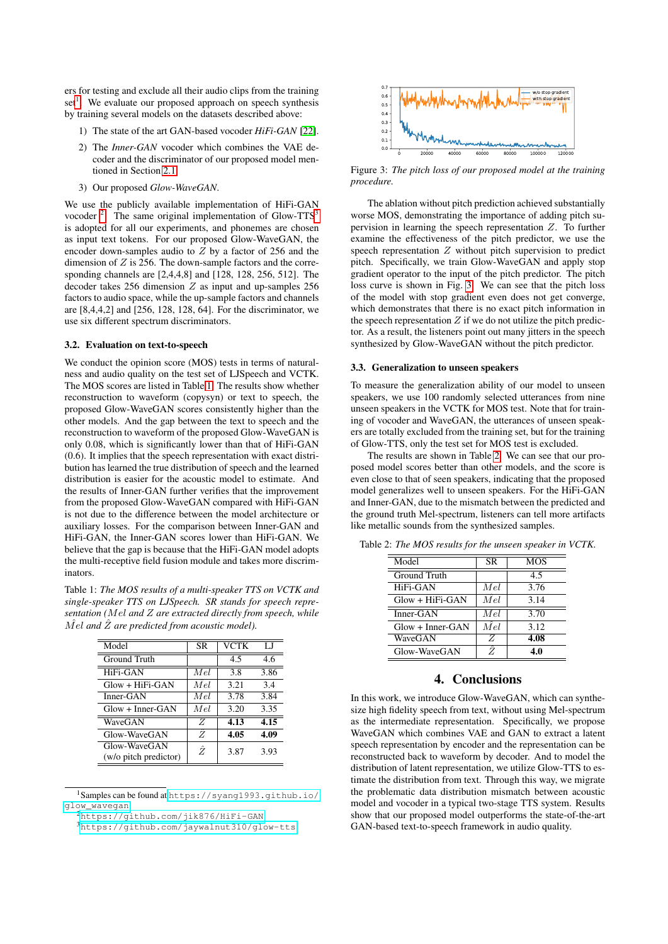ers for testing and exclude all their audio clips from the training set<sup>[1](#page-3-0)</sup>. We evaluate our proposed approach on speech synthesis by training several models on the datasets described above:

- 1) The state of the art GAN-based vocoder *HiFi-GAN* [\[22\]](#page-4-21).
- 2) The *Inner-GAN* vocoder which combines the VAE decoder and the discriminator of our proposed model mentioned in Section [2.1](#page-1-2)
- 3) Our proposed *Glow-WaveGAN*.

We use the publicly available implementation of HiFi-GAN vocoder  $2$ . The same original implementation of Glow-TTS<sup>[3](#page-3-2)</sup> is adopted for all our experiments, and phonemes are chosen as input text tokens. For our proposed Glow-WaveGAN, the encoder down-samples audio to  $\overline{Z}$  by a factor of 256 and the dimension of  $Z$  is 256. The down-sample factors and the corresponding channels are [2,4,4,8] and [128, 128, 256, 512]. The decoder takes  $256$  dimension  $Z$  as input and up-samples  $256$ factors to audio space, while the up-sample factors and channels are [8,4,4,2] and [256, 128, 128, 64]. For the discriminator, we use six different spectrum discriminators.

#### 3.2. Evaluation on text-to-speech

We conduct the opinion score (MOS) tests in terms of naturalness and audio quality on the test set of LJSpeech and VCTK. The MOS scores are listed in Table [1.](#page-3-3) The results show whether reconstruction to waveform (copysyn) or text to speech, the proposed Glow-WaveGAN scores consistently higher than the other models. And the gap between the text to speech and the reconstruction to waveform of the proposed Glow-WaveGAN is only 0.08, which is significantly lower than that of HiFi-GAN (0.6). It implies that the speech representation with exact distribution has learned the true distribution of speech and the learned distribution is easier for the acoustic model to estimate. And the results of Inner-GAN further verifies that the improvement from the proposed Glow-WaveGAN compared with HiFi-GAN is not due to the difference between the model architecture or auxiliary losses. For the comparison between Inner-GAN and HiFi-GAN, the Inner-GAN scores lower than HiFi-GAN. We believe that the gap is because that the HiFi-GAN model adopts the multi-receptive field fusion module and takes more discriminators.

<span id="page-3-3"></span>Table 1: *The MOS results of a multi-speaker TTS on VCTK and single-speaker TTS on LJSpeech. SR stands for speech representation (*Mel *and* Z *are extracted directly from speech, while*  $\hat{M}$ el and  $\hat{Z}$  are predicted from acoustic model).

| Model                 | SR        | <b>VCTK</b> | LI   |
|-----------------------|-----------|-------------|------|
| Ground Truth          |           | 4.5         | 4.6  |
| HiFi-GAN              | Mel       | 3.8         | 3.86 |
| $Glow + HiFi-GAN$     | Mel       | 3.21        | 3.4  |
| Inner-GAN             | Mel       | 3.78        | 3.84 |
| $Glow + Inner-GAN$    | Mel       | 3.20        | 3.35 |
| WaveGAN               | Ζ         | 4.13        | 4.15 |
| Glow-WaveGAN          | Ž         | 4.05        | 4.09 |
| Glow-WaveGAN          | $\hat{Z}$ | 3.87        | 3.93 |
| (w/o pitch predictor) |           |             |      |

<span id="page-3-0"></span><sup>1</sup>Samples can be found at [https://syang1993.github.io/](https://syang1993.github.io/glow_wavegan) [glow\\_wavegan](https://syang1993.github.io/glow_wavegan)

<span id="page-3-4"></span>

Figure 3: *The pitch loss of our proposed model at the training procedure.*

The ablation without pitch prediction achieved substantially worse MOS, demonstrating the importance of adding pitch supervision in learning the speech representation Z. To further examine the effectiveness of the pitch predictor, we use the speech representation  $Z$  without pitch supervision to predict pitch. Specifically, we train Glow-WaveGAN and apply stop gradient operator to the input of the pitch predictor. The pitch loss curve is shown in Fig. [3.](#page-3-4) We can see that the pitch loss of the model with stop gradient even does not get converge, which demonstrates that there is no exact pitch information in the speech representation  $Z$  if we do not utilize the pitch predictor. As a result, the listeners point out many jitters in the speech synthesized by Glow-WaveGAN without the pitch predictor.

#### 3.3. Generalization to unseen speakers

To measure the generalization ability of our model to unseen speakers, we use 100 randomly selected utterances from nine unseen speakers in the VCTK for MOS test. Note that for training of vocoder and WaveGAN, the utterances of unseen speakers are totally excluded from the training set, but for the training of Glow-TTS, only the test set for MOS test is excluded.

The results are shown in Table [2.](#page-3-5) We can see that our proposed model scores better than other models, and the score is even close to that of seen speakers, indicating that the proposed model generalizes well to unseen speakers. For the HiFi-GAN and Inner-GAN, due to the mismatch between the predicted and the ground truth Mel-spectrum, listeners can tell more artifacts like metallic sounds from the synthesized samples.

| Model              | <b>SR</b>   | <b>MOS</b> |
|--------------------|-------------|------------|
| Ground Truth       |             | 4.5        |
| HiFi-GAN           | Mel         | 3.76       |
| $Glow + HiFi-GAN$  | $\hat{Mel}$ | 3.14       |
| $Inner-GAN$        | Mel         | 3.70       |
| $Glow + Inner-GAN$ | $\hat{Mel}$ | 3.12       |
| WaveGAN            | Ζ           | 4.08       |
| Glow-WaveGAN       | Z           | 4.0        |

<span id="page-3-5"></span>Table 2: *The MOS results for the unseen speaker in VCTK.*

## 4. Conclusions

In this work, we introduce Glow-WaveGAN, which can synthesize high fidelity speech from text, without using Mel-spectrum as the intermediate representation. Specifically, we propose WaveGAN which combines VAE and GAN to extract a latent speech representation by encoder and the representation can be reconstructed back to waveform by decoder. And to model the distribution of latent representation, we utilize Glow-TTS to estimate the distribution from text. Through this way, we migrate the problematic data distribution mismatch between acoustic model and vocoder in a typical two-stage TTS system. Results show that our proposed model outperforms the state-of-the-art GAN-based text-to-speech framework in audio quality.

<span id="page-3-1"></span><sup>2</sup><https://github.com/jik876/HiFi-GAN>

<span id="page-3-2"></span><sup>3</sup><https://github.com/jaywalnut310/glow-tts>